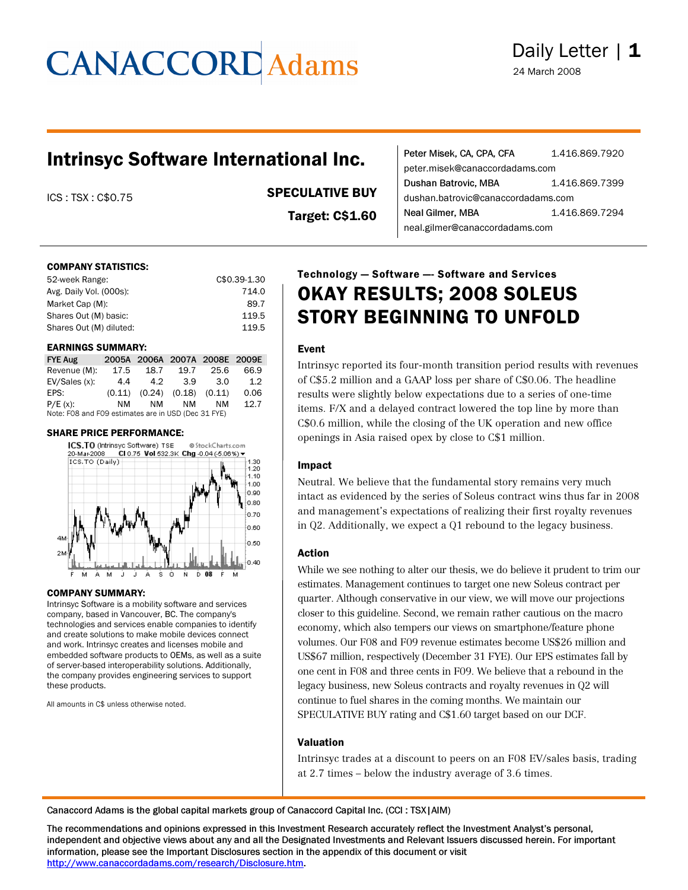# **CANACCORD** Adams

### Intrinsyc Software International Inc.

ICS : TSX : C\$0.75 SPECULATIVE BUY

Target: C\$1.60

| Peter Misek, CA, CPA, CFA          | 1.416.869.7920 |
|------------------------------------|----------------|
| peter.misek@canaccordadams.com     |                |
| Dushan Batrovic, MBA               | 1.416.869.7399 |
| dushan.batrovic@canaccordadams.com |                |
| Neal Gilmer, MBA                   | 1.416.869.7294 |
| neal.gilmer@canaccordadams.com     |                |

#### COMPANY STATISTICS:

| 52-week Range:          | C\$0.39-1.30 |
|-------------------------|--------------|
| Avg. Daily Vol. (000s): | 714.0        |
| Market Cap (M):         | 89.7         |
| Shares Out (M) basic:   | 119.5        |
| Shares Out (M) diluted: | 119.5        |

#### EARNINGS SUMMARY:

| <b>FYE Aug</b>                                      |      |      | 2005A 2006A 2007A 2008E 2009E       |      |      |
|-----------------------------------------------------|------|------|-------------------------------------|------|------|
| Revenue (M):                                        | 17.5 | 18.7 | 19.7                                | 25.6 | 66.9 |
| EV/Sales(x):                                        | 4.4  | 4.2  | -3.9                                | .3.O | 1.2  |
| EPS:                                                |      |      | $(0.11)$ $(0.24)$ $(0.18)$ $(0.11)$ |      | 0.06 |
| $P/E(x)$ :                                          | NM   | NM   | <b>NM</b>                           | NM   | 12.7 |
| Note: F08 and F09 estimates are in USD (Dec 31 FYE) |      |      |                                     |      |      |

#### SHARE PRICE PERFORMANCE:



#### COMPANY SUMMARY:

Intrinsyc Software is a mobility software and services company, based in Vancouver, BC. The company's technologies and services enable companies to identify and create solutions to make mobile devices connect and work. Intrinsyc creates and licenses mobile and embedded software products to OEMs, as well as a suite of server-based interoperability solutions. Additionally, the company provides engineering services to support these products.

All amounts in C\$ unless otherwise noted.

### Technology — Software —- Software and Services OKAY RESULTS; 2008 SOLEUS STORY BEGINNING TO UNFOLD

#### Event

Intrinsyc reported its four-month transition period results with revenues of C\$5.2 million and a GAAP loss per share of C\$0.06. The headline results were slightly below expectations due to a series of one-time items. F/X and a delayed contract lowered the top line by more than C\$0.6 million, while the closing of the UK operation and new office openings in Asia raised opex by close to C\$1 million.

### Impact

Neutral. We believe that the fundamental story remains very much intact as evidenced by the series of Soleus contract wins thus far in 2008 and management's expectations of realizing their first royalty revenues in Q2. Additionally, we expect a Q1 rebound to the legacy business.

### Action

While we see nothing to alter our thesis, we do believe it prudent to trim our estimates. Management continues to target one new Soleus contract per quarter. Although conservative in our view, we will move our projections closer to this guideline. Second, we remain rather cautious on the macro economy, which also tempers our views on smartphone/feature phone volumes. Our F08 and F09 revenue estimates become US\$26 million and US\$67 million, respectively (December 31 FYE). Our EPS estimates fall by one cent in F08 and three cents in F09. We believe that a rebound in the legacy business, new Soleus contracts and royalty revenues in Q2 will continue to fuel shares in the coming months. We maintain our SPECULATIVE BUY rating and C\$1.60 target based on our DCF.

#### Valuation

Intrinsyc trades at a discount to peers on an F08 EV/sales basis, trading at 2.7 times – below the industry average of 3.6 times.

Canaccord Adams is the global capital markets group of Canaccord Capital Inc. (CCI : TSX|AIM)

The recommendations and opinions expressed in this Investment Research accurately reflect the Investment Analyst's personal, independent and objective views about any and all the Designated Investments and Relevant Issuers discussed herein. For important information, please see the Important Disclosures section in the appendix of this document or visit [http://www.canaccordadams.com/research/Disclosure.htm.](http://www.canaccordadams.com/research/Disclosure.htm)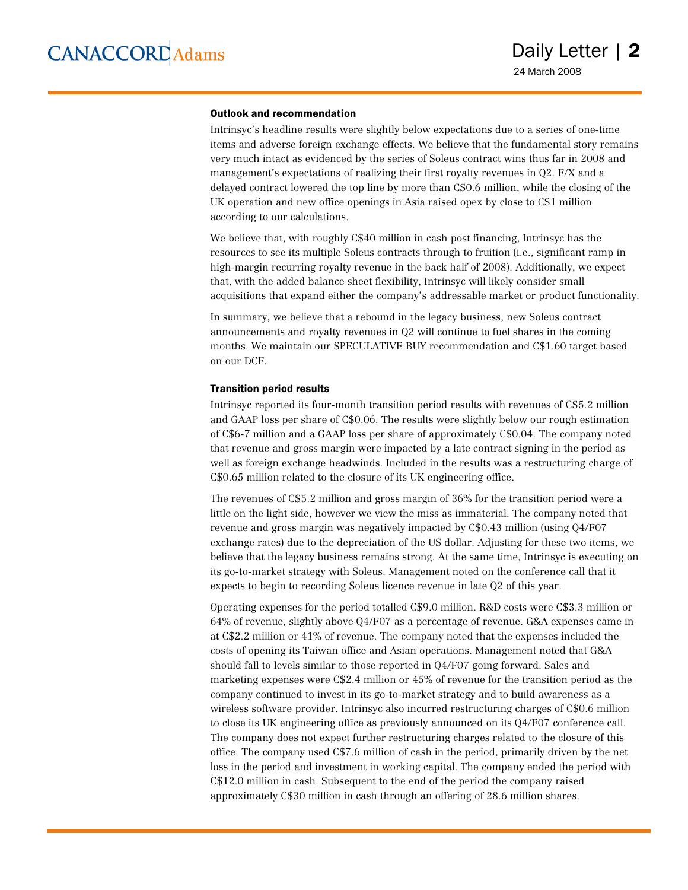#### Outlook and recommendation

Intrinsyc's headline results were slightly below expectations due to a series of one-time items and adverse foreign exchange effects. We believe that the fundamental story remains very much intact as evidenced by the series of Soleus contract wins thus far in 2008 and management's expectations of realizing their first royalty revenues in Q2. F/X and a delayed contract lowered the top line by more than C\$0.6 million, while the closing of the UK operation and new office openings in Asia raised opex by close to C\$1 million according to our calculations.

We believe that, with roughly C\$40 million in cash post financing, Intrinsyc has the resources to see its multiple Soleus contracts through to fruition (i.e., significant ramp in high-margin recurring royalty revenue in the back half of 2008). Additionally, we expect that, with the added balance sheet flexibility, Intrinsyc will likely consider small acquisitions that expand either the company's addressable market or product functionality.

In summary, we believe that a rebound in the legacy business, new Soleus contract announcements and royalty revenues in Q2 will continue to fuel shares in the coming months. We maintain our SPECULATIVE BUY recommendation and C\$1.60 target based on our DCF.

#### Transition period results

Intrinsyc reported its four-month transition period results with revenues of C\$5.2 million and GAAP loss per share of C\$0.06. The results were slightly below our rough estimation of C\$6-7 million and a GAAP loss per share of approximately C\$0.04. The company noted that revenue and gross margin were impacted by a late contract signing in the period as well as foreign exchange headwinds. Included in the results was a restructuring charge of C\$0.65 million related to the closure of its UK engineering office.

The revenues of C\$5.2 million and gross margin of 36% for the transition period were a little on the light side, however we view the miss as immaterial. The company noted that revenue and gross margin was negatively impacted by C\$0.43 million (using Q4/F07 exchange rates) due to the depreciation of the US dollar. Adjusting for these two items, we believe that the legacy business remains strong. At the same time, Intrinsyc is executing on its go-to-market strategy with Soleus. Management noted on the conference call that it expects to begin to recording Soleus licence revenue in late Q2 of this year.

Operating expenses for the period totalled C\$9.0 million. R&D costs were C\$3.3 million or 64% of revenue, slightly above Q4/F07 as a percentage of revenue. G&A expenses came in at C\$2.2 million or 41% of revenue. The company noted that the expenses included the costs of opening its Taiwan office and Asian operations. Management noted that G&A should fall to levels similar to those reported in Q4/F07 going forward. Sales and marketing expenses were C\$2.4 million or 45% of revenue for the transition period as the company continued to invest in its go-to-market strategy and to build awareness as a wireless software provider. Intrinsyc also incurred restructuring charges of C\$0.6 million to close its UK engineering office as previously announced on its Q4/F07 conference call. The company does not expect further restructuring charges related to the closure of this office. The company used C\$7.6 million of cash in the period, primarily driven by the net loss in the period and investment in working capital. The company ended the period with C\$12.0 million in cash. Subsequent to the end of the period the company raised approximately C\$30 million in cash through an offering of 28.6 million shares.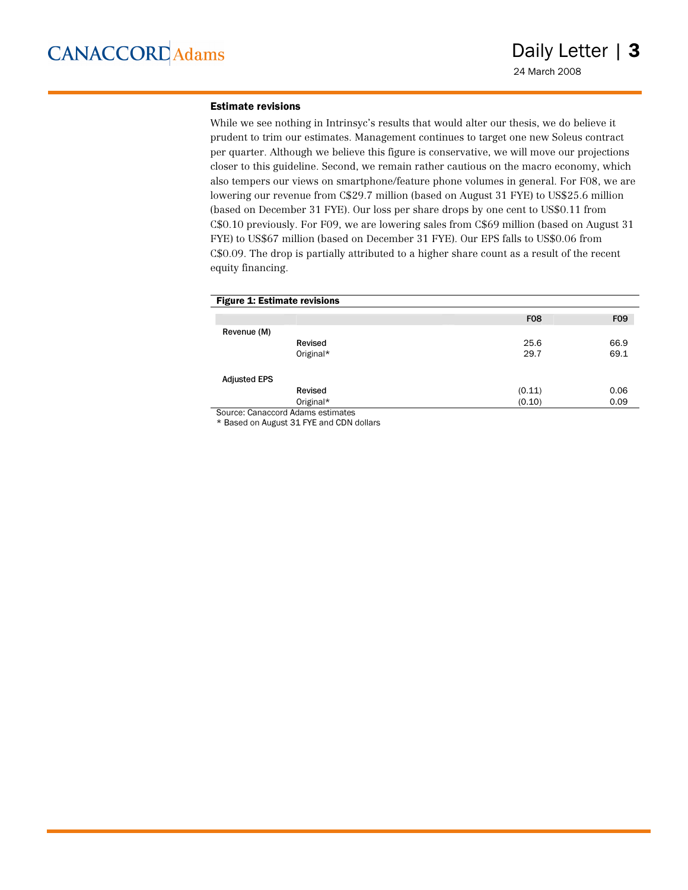#### Estimate revisions

While we see nothing in Intrinsyc's results that would alter our thesis, we do believe it prudent to trim our estimates. Management continues to target one new Soleus contract per quarter. Although we believe this figure is conservative, we will move our projections closer to this guideline. Second, we remain rather cautious on the macro economy, which also tempers our views on smartphone/feature phone volumes in general. For F08, we are lowering our revenue from C\$29.7 million (based on August 31 FYE) to US\$25.6 million (based on December 31 FYE). Our loss per share drops by one cent to US\$0.11 from C\$0.10 previously. For F09, we are lowering sales from C\$69 million (based on August 31 FYE) to US\$67 million (based on December 31 FYE). Our EPS falls to US\$0.06 from C\$0.09. The drop is partially attributed to a higher share count as a result of the recent equity financing.

#### Figure 1: Estimate revisions

|                                   | <b>F08</b> | <b>F09</b> |
|-----------------------------------|------------|------------|
| Revenue (M)                       |            |            |
| Revised                           | 25.6       | 66.9       |
| Original*                         | 29.7       | 69.1       |
| <b>Adjusted EPS</b>               |            |            |
| Revised                           | (0.11)     | 0.06       |
| Original*                         | (0.10)     | 0.09       |
| Source: Canaccord Adams estimates |            |            |

\* Based on August 31 FYE and CDN dollars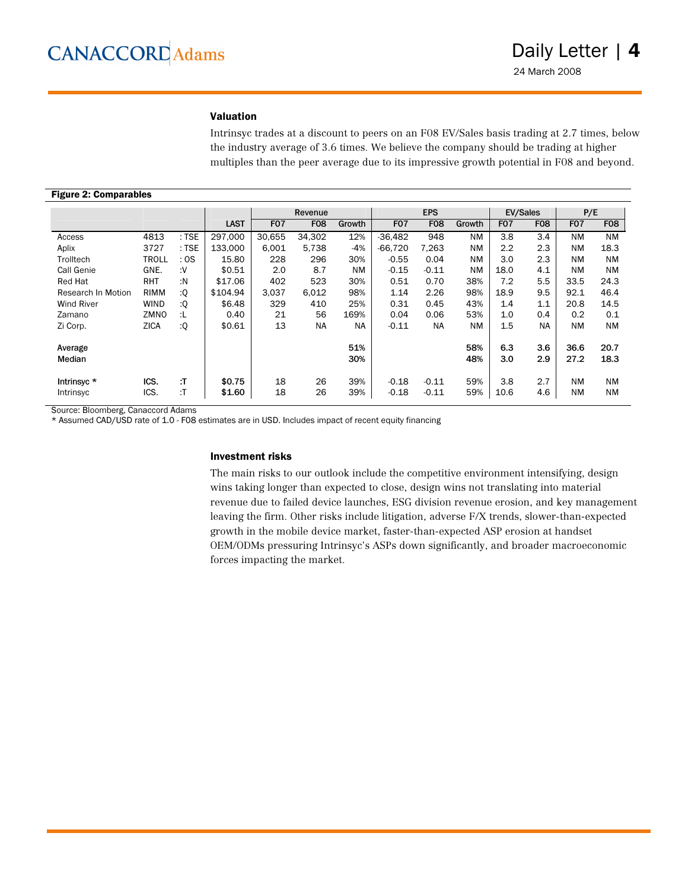#### Valuation

Intrinsyc trades at a discount to peers on an F08 EV/Sales basis trading at 2.7 times, below the industry average of 3.6 times. We believe the company should be trading at higher multiples than the peer average due to its impressive growth potential in F08 and beyond.

| <b>Figure 2: Comparables</b> |             |         |             |            |            |           |            |            |           |                  |            |                  |            |
|------------------------------|-------------|---------|-------------|------------|------------|-----------|------------|------------|-----------|------------------|------------|------------------|------------|
|                              |             |         |             | Revenue    |            |           | <b>EPS</b> |            |           | EV/Sales         |            | P/E              |            |
|                              |             |         | <b>LAST</b> | <b>F07</b> | <b>F08</b> | Growth    | <b>F07</b> | <b>F08</b> | Growth    | F <sub>0</sub> 7 | <b>F08</b> | F <sub>0</sub> 7 | <b>F08</b> |
| Access                       | 4813        | $:$ TSE | 297,000     | 30,655     | 34,302     | 12%       | $-36,482$  | 948        | <b>NM</b> | 3.8              | 3.4        | <b>NM</b>        | <b>NM</b>  |
| Aplix                        | 3727        | $:$ TSE | 133,000     | 6,001      | 5,738      | $-4%$     | $-66,720$  | 7,263      | <b>NM</b> | 2.2              | 2.3        | <b>NM</b>        | 18.3       |
| Trolltech                    | TROLL       | :OS     | 15.80       | 228        | 296        | 30%       | $-0.55$    | 0.04       | <b>NM</b> | 3.0              | 2.3        | <b>NM</b>        | <b>NM</b>  |
| Call Genie                   | GNE.        | :V      | \$0.51      | 2.0        | 8.7        | <b>NM</b> | $-0.15$    | $-0.11$    | <b>NM</b> | 18.0             | 4.1        | <b>NM</b>        | <b>NM</b>  |
| <b>Red Hat</b>               | <b>RHT</b>  | :N      | \$17.06     | 402        | 523        | 30%       | 0.51       | 0.70       | 38%       | 7.2              | 5.5        | 33.5             | 24.3       |
| Research In Motion           | <b>RIMM</b> | :Q      | \$104.94    | 3,037      | 6,012      | 98%       | 1.14       | 2.26       | 98%       | 18.9             | 9.5        | 92.1             | 46.4       |
| <b>Wind River</b>            | WIND        | :Q      | \$6.48      | 329        | 410        | 25%       | 0.31       | 0.45       | 43%       | 1.4              | 1.1        | 20.8             | 14.5       |
| Zamano                       | ZMNO        | :L      | 0.40        | 21         | 56         | 169%      | 0.04       | 0.06       | 53%       | 1.0              | 0.4        | 0.2              | 0.1        |
| Zi Corp.                     | <b>ZICA</b> | :Q      | \$0.61      | 13         | <b>NA</b>  | <b>NA</b> | $-0.11$    | <b>NA</b>  | <b>NM</b> | 1.5              | <b>NA</b>  | <b>NM</b>        | <b>NM</b>  |
| Average                      |             |         |             |            |            | 51%       |            |            | 58%       | 6.3              | 3.6        | 36.6             | 20.7       |
| Median                       |             |         |             |            |            | 30%       |            |            | 48%       | 3.0              | 2.9        | 27.2             | 18.3       |
|                              |             |         |             |            |            |           |            |            |           |                  |            |                  |            |
| Intrinsyc *                  | ICS.        | :T      | \$0.75      | 18         | 26         | 39%       | $-0.18$    | $-0.11$    | 59%       | 3.8              | 2.7        | ΝM               | <b>NM</b>  |
| Intrinsyc                    | ICS.        | :T      | \$1.60      | 18         | 26         | 39%       | $-0.18$    | $-0.11$    | 59%       | 10.6             | 4.6        | <b>NM</b>        | <b>NM</b>  |

Source: Bloomberg, Canaccord Adams

\* Assumed CAD/USD rate of 1.0 - F08 estimates are in USD. Includes impact of recent equity financing

#### Investment risks

The main risks to our outlook include the competitive environment intensifying, design wins taking longer than expected to close, design wins not translating into material revenue due to failed device launches, ESG division revenue erosion, and key management leaving the firm. Other risks include litigation, adverse F/X trends, slower-than-expected growth in the mobile device market, faster-than-expected ASP erosion at handset OEM/ODMs pressuring Intrinsyc's ASPs down significantly, and broader macroeconomic forces impacting the market.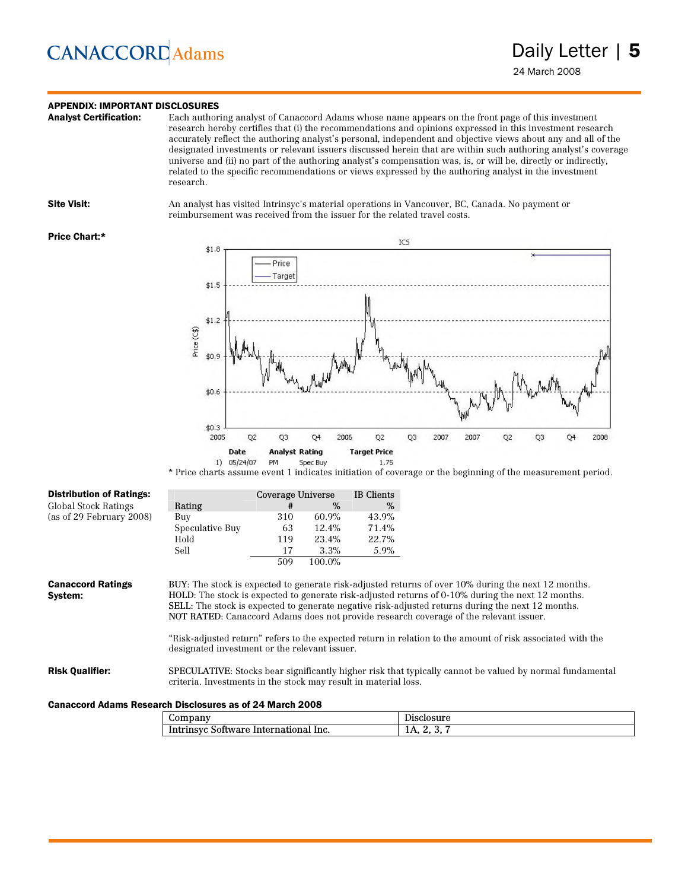## **CANACCORD** Adams

### **APPENDIX: IMPORTANT DISCLOSURES**<br>**Analyst Certification:** Each author

Each authoring analyst of Canaccord Adams whose name appears on the front page of this investment research hereby certifies that (i) the recommendations and opinions expressed in this investment research accurately reflect the authoring analyst's personal, independent and objective views about any and all of the designated investments or relevant issuers discussed herein that are within such authoring analyst's coverage universe and (ii) no part of the authoring analyst's compensation was, is, or will be, directly or indirectly, related to the specific recommendations or views expressed by the authoring analyst in the investment research.

Site Visit: An analyst has visited Intrinsyc's material operations in Vancouver, BC, Canada. No payment or reimbursement was received from the issuer for the related travel costs.

#### Price Chart:\*



\* Price charts assume event 1 indicates initiation of coverage or the beginning of the measurement period.

| <b>Distribution of Ratings:</b>                          |                                                                                                                                                                                                                                                                                                                                                                                                                                                                                                                                                                              | Coverage Universe |        | <b>IB</b> Clients |                                                                                                                 |
|----------------------------------------------------------|------------------------------------------------------------------------------------------------------------------------------------------------------------------------------------------------------------------------------------------------------------------------------------------------------------------------------------------------------------------------------------------------------------------------------------------------------------------------------------------------------------------------------------------------------------------------------|-------------------|--------|-------------------|-----------------------------------------------------------------------------------------------------------------|
| Global Stock Ratings                                     | Rating                                                                                                                                                                                                                                                                                                                                                                                                                                                                                                                                                                       | #                 | $\%$   | %                 |                                                                                                                 |
| (as of 29 February 2008)                                 | Buy                                                                                                                                                                                                                                                                                                                                                                                                                                                                                                                                                                          | 310               | 60.9%  | 43.9%             |                                                                                                                 |
|                                                          | Speculative Buy                                                                                                                                                                                                                                                                                                                                                                                                                                                                                                                                                              | 63                | 12.4%  | 71.4%             |                                                                                                                 |
|                                                          | Hold                                                                                                                                                                                                                                                                                                                                                                                                                                                                                                                                                                         | 119               | 23.4%  | 22.7%             |                                                                                                                 |
|                                                          | Sell                                                                                                                                                                                                                                                                                                                                                                                                                                                                                                                                                                         | 17                | 3.3%   | 5.9%              |                                                                                                                 |
|                                                          |                                                                                                                                                                                                                                                                                                                                                                                                                                                                                                                                                                              | 509               | 100.0% |                   |                                                                                                                 |
| <b>Canaccord Ratings</b><br>System:                      | BUY: The stock is expected to generate risk-adjusted returns of over 10% during the next 12 months.<br>HOLD: The stock is expected to generate risk-adjusted returns of 0-10% during the next 12 months.<br><b>SELL:</b> The stock is expected to generate negative risk-adjusted returns during the next 12 months.<br>NOT RATED: Canaccord Adams does not provide research coverage of the relevant issuer.<br>"Risk-adjusted return" refers to the expected return in relation to the amount of risk associated with the<br>designated investment or the relevant issuer. |                   |        |                   |                                                                                                                 |
| <b>Risk Qualifier:</b>                                   | criteria. Investments in the stock may result in material loss.                                                                                                                                                                                                                                                                                                                                                                                                                                                                                                              |                   |        |                   | <b>SPECULATIVE:</b> Stocks bear significantly higher risk that typically cannot be valued by normal fundamental |
| Canaccord Adams Research Disclosures as of 24 March 2008 |                                                                                                                                                                                                                                                                                                                                                                                                                                                                                                                                                                              |                   |        |                   |                                                                                                                 |

| сошран                                                                                                 | $\sim$<br>--------<br>. əcidəti c |
|--------------------------------------------------------------------------------------------------------|-----------------------------------|
| Intrins<br>asve<br>tiona.<br>Inc.<br>۱۳۵<br>וחר<br>TW 2<br>$\mu$ and $\mu$ and $\mu$<br>ша<br>.<br>. . | .<br>--                           |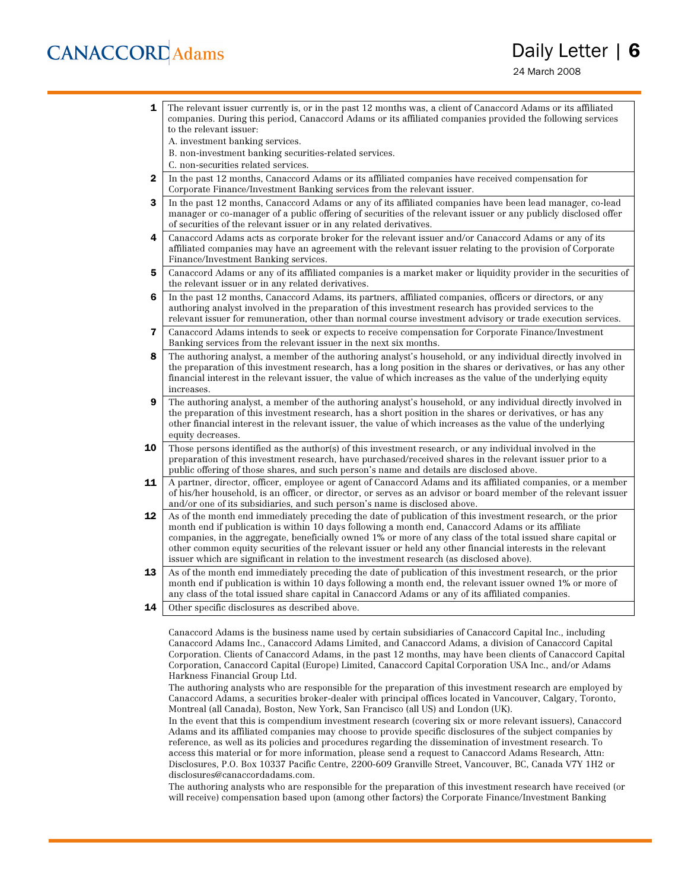### **CANACCORD** Adams

### Daily Letter | 6

24 March 2008

**1** The relevant issuer currently is, or in the past 12 months was, a client of Canaccord Adams or its affiliated companies. During this period, Canaccord Adams or its affiliated companies provided the following services to the relevant issuer: A. investment banking services. B. non-investment banking securities-related services. C. non-securities related services. 2 In the past 12 months, Canaccord Adams or its affiliated companies have received compensation for Corporate Finance/Investment Banking services from the relevant issuer. **3** In the past 12 months, Canaccord Adams or any of its affiliated companies have been lead manager, co-lead manager or co-manager of a public offering of securities of the relevant issuer or any publicly disclosed offer of securities of the relevant issuer or in any related derivatives. 4 Canaccord Adams acts as corporate broker for the relevant issuer and/or Canaccord Adams or any of its affiliated companies may have an agreement with the relevant issuer relating to the provision of Corporate Finance/Investment Banking services. 5 Canaccord Adams or any of its affiliated companies is a market maker or liquidity provider in the securities of the relevant issuer or in any related derivatives. 6 In the past 12 months, Canaccord Adams, its partners, affiliated companies, officers or directors, or any authoring analyst involved in the preparation of this investment research has provided services to the relevant issuer for remuneration, other than normal course investment advisory or trade execution services. 7 Canaccord Adams intends to seek or expects to receive compensation for Corporate Finance/Investment Banking services from the relevant issuer in the next six months. 8 The authoring analyst, a member of the authoring analyst's household, or any individual directly involved in the preparation of this investment research, has a long position in the shares or derivatives, or has any other financial interest in the relevant issuer, the value of which increases as the value of the underlying equity increases. **9** The authoring analyst, a member of the authoring analyst's household, or any individual directly involved in the preparation of this investment research, has a short position in the shares or derivatives, or has any other financial interest in the relevant issuer, the value of which increases as the value of the underlying equity decreases. **10** Those persons identified as the author(s) of this investment research, or any individual involved in the preparation of this investment research, have purchased/received shares in the relevant issuer prior to a public offering of those shares, and such person's name and details are disclosed above. 11 A partner, director, officer, employee or agent of Canaccord Adams and its affiliated companies, or a member of his/her household, is an officer, or director, or serves as an advisor or board member of the relevant issuer and/or one of its subsidiaries, and such person's name is disclosed above. 12 As of the month end immediately preceding the date of publication of this investment research, or the prior month end if publication is within 10 days following a month end, Canaccord Adams or its affiliate companies, in the aggregate, beneficially owned 1% or more of any class of the total issued share capital or other common equity securities of the relevant issuer or held any other financial interests in the relevant issuer which are significant in relation to the investment research (as disclosed above). 13 As of the month end immediately preceding the date of publication of this investment research, or the prior month end if publication is within 10 days following a month end, the relevant issuer owned 1% or more of any class of the total issued share capital in Canaccord Adams or any of its affiliated companies. **14** Other specific disclosures as described above. Canaccord Adams is the business name used by certain subsidiaries of Canaccord Capital Inc., including Canaccord Adams Inc., Canaccord Adams Limited, and Canaccord Adams, a division of Canaccord Capital

Corporation. Clients of Canaccord Adams, in the past 12 months, may have been clients of Canaccord Capital Corporation, Canaccord Capital (Europe) Limited, Canaccord Capital Corporation USA Inc., and/or Adams Harkness Financial Group Ltd.

The authoring analysts who are responsible for the preparation of this investment research are employed by Canaccord Adams, a securities broker-dealer with principal offices located in Vancouver, Calgary, Toronto, Montreal (all Canada), Boston, New York, San Francisco (all US) and London (UK).

In the event that this is compendium investment research (covering six or more relevant issuers), Canaccord Adams and its affiliated companies may choose to provide specific disclosures of the subject companies by reference, as well as its policies and procedures regarding the dissemination of investment research. To access this material or for more information, please send a request to Canaccord Adams Research, Attn: Disclosures, P.O. Box 10337 Pacific Centre, 2200-609 Granville Street, Vancouver, BC, Canada V7Y 1H2 or disclosures@canaccordadams.com.

The authoring analysts who are responsible for the preparation of this investment research have received (or will receive) compensation based upon (among other factors) the Corporate Finance/Investment Banking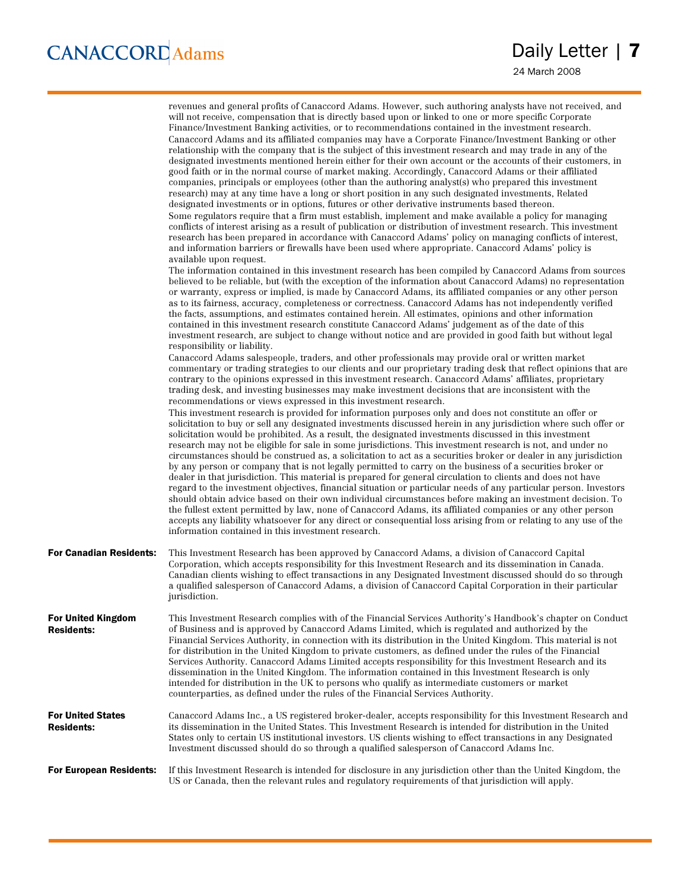24 March 2008

|                                                | revenues and general profits of Canaccord Adams. However, such authoring analysts have not received, and<br>will not receive, compensation that is directly based upon or linked to one or more specific Corporate<br>Finance/Investment Banking activities, or to recommendations contained in the investment research.<br>Canaccord Adams and its affiliated companies may have a Corporate Finance/Investment Banking or other<br>relationship with the company that is the subject of this investment research and may trade in any of the<br>designated investments mentioned herein either for their own account or the accounts of their customers, in<br>good faith or in the normal course of market making. Accordingly, Canaccord Adams or their affiliated<br>companies, principals or employees (other than the authoring analyst(s) who prepared this investment<br>research) may at any time have a long or short position in any such designated investments, Related<br>designated investments or in options, futures or other derivative instruments based thereon.<br>Some regulators require that a firm must establish, implement and make available a policy for managing<br>conflicts of interest arising as a result of publication or distribution of investment research. This investment<br>research has been prepared in accordance with Canaccord Adams' policy on managing conflicts of interest,<br>and information barriers or firewalls have been used where appropriate. Canaccord Adams' policy is<br>available upon request. |
|------------------------------------------------|------------------------------------------------------------------------------------------------------------------------------------------------------------------------------------------------------------------------------------------------------------------------------------------------------------------------------------------------------------------------------------------------------------------------------------------------------------------------------------------------------------------------------------------------------------------------------------------------------------------------------------------------------------------------------------------------------------------------------------------------------------------------------------------------------------------------------------------------------------------------------------------------------------------------------------------------------------------------------------------------------------------------------------------------------------------------------------------------------------------------------------------------------------------------------------------------------------------------------------------------------------------------------------------------------------------------------------------------------------------------------------------------------------------------------------------------------------------------------------------------------------------------------------------------------------------|
|                                                | The information contained in this investment research has been compiled by Canaccord Adams from sources<br>believed to be reliable, but (with the exception of the information about Canaccord Adams) no representation<br>or warranty, express or implied, is made by Canaccord Adams, its affiliated companies or any other person<br>as to its fairness, accuracy, completeness or correctness. Canaccord Adams has not independently verified<br>the facts, assumptions, and estimates contained herein. All estimates, opinions and other information<br>contained in this investment research constitute Canaccord Adams' judgement as of the date of this<br>investment research, are subject to change without notice and are provided in good faith but without legal<br>responsibility or liability.                                                                                                                                                                                                                                                                                                                                                                                                                                                                                                                                                                                                                                                                                                                                                   |
|                                                | Canaccord Adams salespeople, traders, and other professionals may provide oral or written market<br>commentary or trading strategies to our clients and our proprietary trading desk that reflect opinions that are<br>contrary to the opinions expressed in this investment research. Canaccord Adams' affiliates, proprietary<br>trading desk, and investing businesses may make investment decisions that are inconsistent with the<br>recommendations or views expressed in this investment research.                                                                                                                                                                                                                                                                                                                                                                                                                                                                                                                                                                                                                                                                                                                                                                                                                                                                                                                                                                                                                                                        |
|                                                | This investment research is provided for information purposes only and does not constitute an offer or<br>solicitation to buy or sell any designated investments discussed herein in any jurisdiction where such offer or<br>solicitation would be prohibited. As a result, the designated investments discussed in this investment<br>research may not be eligible for sale in some jurisdictions. This investment research is not, and under no<br>circumstances should be construed as, a solicitation to act as a securities broker or dealer in any jurisdiction<br>by any person or company that is not legally permitted to carry on the business of a securities broker or<br>dealer in that jurisdiction. This material is prepared for general circulation to clients and does not have<br>regard to the investment objectives, financial situation or particular needs of any particular person. Investors<br>should obtain advice based on their own individual circumstances before making an investment decision. To<br>the fullest extent permitted by law, none of Canaccord Adams, its affiliated companies or any other person<br>accepts any liability whatsoever for any direct or consequential loss arising from or relating to any use of the<br>information contained in this investment research.                                                                                                                                                                                                                                       |
| <b>For Canadian Residents:</b>                 | This Investment Research has been approved by Canaccord Adams, a division of Canaccord Capital<br>Corporation, which accepts responsibility for this Investment Research and its dissemination in Canada.<br>Canadian clients wishing to effect transactions in any Designated Investment discussed should do so through<br>a qualified salesperson of Canaccord Adams, a division of Canaccord Capital Corporation in their particular<br>jurisdiction.                                                                                                                                                                                                                                                                                                                                                                                                                                                                                                                                                                                                                                                                                                                                                                                                                                                                                                                                                                                                                                                                                                         |
| <b>For United Kingdom</b><br><b>Residents:</b> | This Investment Research complies with of the Financial Services Authority's Handbook's chapter on Conduct<br>of Business and is approved by Canaccord Adams Limited, which is regulated and authorized by the<br>Financial Services Authority, in connection with its distribution in the United Kingdom. This material is not<br>for distribution in the United Kingdom to private customers, as defined under the rules of the Financial<br>Services Authority. Canaccord Adams Limited accepts responsibility for this Investment Research and its<br>dissemination in the United Kingdom. The information contained in this Investment Research is only<br>intended for distribution in the UK to persons who qualify as intermediate customers or market<br>counterparties, as defined under the rules of the Financial Services Authority.                                                                                                                                                                                                                                                                                                                                                                                                                                                                                                                                                                                                                                                                                                                |
| <b>For United States</b><br><b>Residents:</b>  | Canaccord Adams Inc., a US registered broker-dealer, accepts responsibility for this Investment Research and<br>its dissemination in the United States. This Investment Research is intended for distribution in the United<br>States only to certain US institutional investors. US clients wishing to effect transactions in any Designated<br>Investment discussed should do so through a qualified salesperson of Canaccord Adams Inc.                                                                                                                                                                                                                                                                                                                                                                                                                                                                                                                                                                                                                                                                                                                                                                                                                                                                                                                                                                                                                                                                                                                       |
| <b>For European Residents:</b>                 | If this Investment Research is intended for disclosure in any jurisdiction other than the United Kingdom, the<br>US or Canada, then the relevant rules and regulatory requirements of that jurisdiction will apply.                                                                                                                                                                                                                                                                                                                                                                                                                                                                                                                                                                                                                                                                                                                                                                                                                                                                                                                                                                                                                                                                                                                                                                                                                                                                                                                                              |